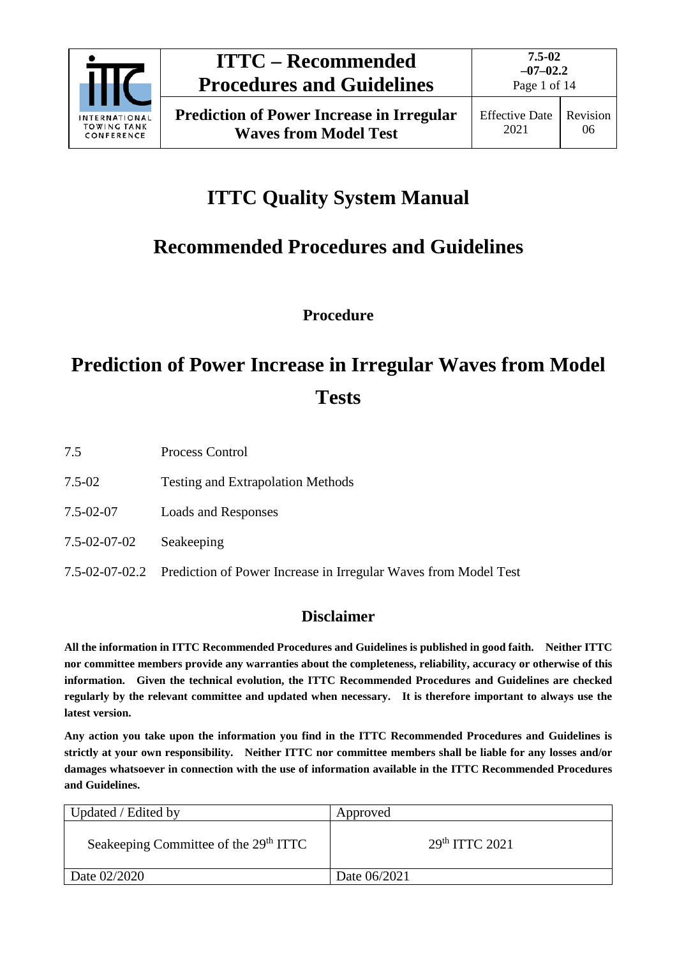

**Waves from Model Test**

# **ITTC Quality System Manual**

# **Recommended Procedures and Guidelines**

**Procedure**

# **Prediction of Power Increase in Irregular Waves from Model Tests**

- 7.5-02 Testing and Extrapolation Methods
- 7.5-02-07 Loads and Responses
- 7.5-02-07-02 Seakeeping
- 7.5-02-07-02.2 Prediction of Power Increase in Irregular Waves from Model Test

## **Disclaimer**

**All the information in ITTC Recommended Procedures and Guidelines is published in good faith. Neither ITTC nor committee members provide any warranties about the completeness, reliability, accuracy or otherwise of this information. Given the technical evolution, the ITTC Recommended Procedures and Guidelines are checked regularly by the relevant committee and updated when necessary. It is therefore important to always use the latest version.**

**Any action you take upon the information you find in the ITTC Recommended Procedures and Guidelines is strictly at your own responsibility. Neither ITTC nor committee members shall be liable for any losses and/or damages whatsoever in connection with the use of information available in the ITTC Recommended Procedures and Guidelines.**

| Updated / Edited by                               | Approved                   |
|---------------------------------------------------|----------------------------|
| Seakeeping Committee of the 29 <sup>th</sup> ITTC | 29 <sup>th</sup> TTTC 2021 |
| Date 02/2020                                      | Date 06/2021               |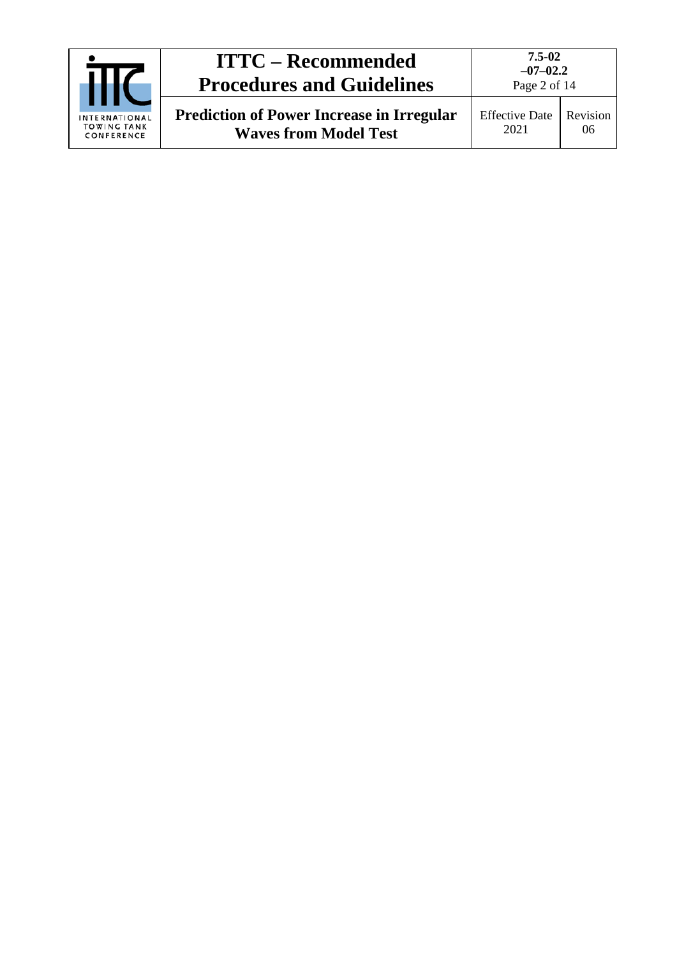|                                                   | <b>ITTC – Recommended</b><br><b>Procedures and Guidelines</b>                    | $7.5 - 02$<br>$-07-02.2$<br>Page 2 of 14 |                |
|---------------------------------------------------|----------------------------------------------------------------------------------|------------------------------------------|----------------|
| INTERNATIONAL<br><b>TOWING TANK</b><br>CONFERENCE | <b>Prediction of Power Increase in Irregular</b><br><b>Waves from Model Test</b> | <b>Effective Date</b><br>2021            | Revision<br>06 |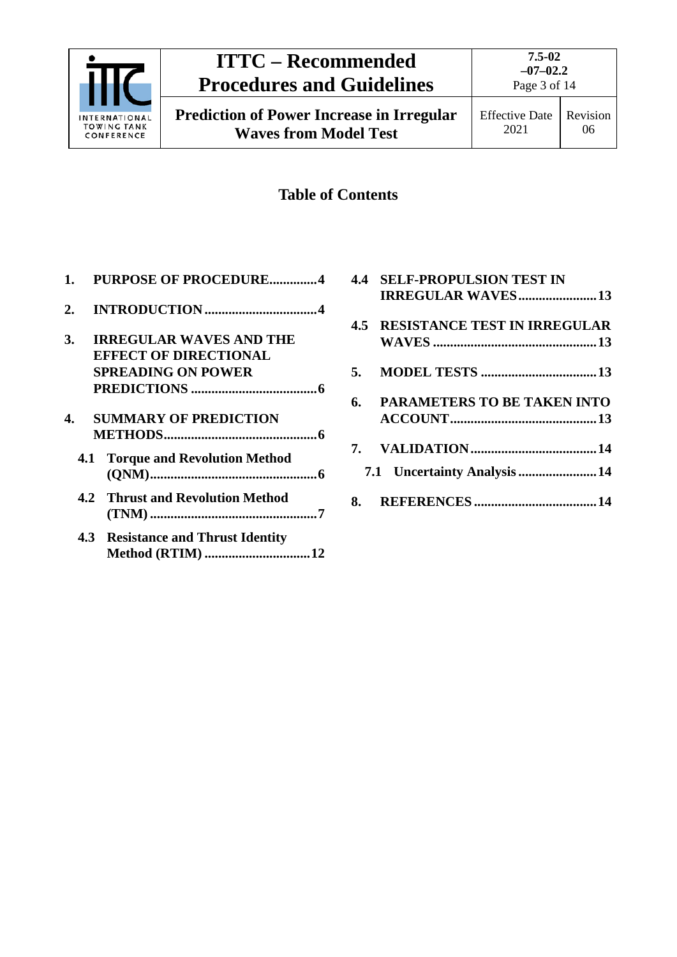

**Prediction of Power Increase in Irregular Waves from Model Test**

## **Table of Contents**

|    | 1. PURPOSE OF PROCEDURE4                |
|----|-----------------------------------------|
|    |                                         |
| 3. | <b>IRREGULAR WAVES AND THE</b>          |
|    | <b>EFFECT OF DIRECTIONAL</b>            |
|    | <b>SPREADING ON POWER</b>               |
|    |                                         |
| 4. | <b>SUMMARY OF PREDICTION</b>            |
|    |                                         |
|    | <b>4.1 Torque and Revolution Method</b> |
|    |                                         |

- **4.2 [Thrust and Revolution Method](#page-6-0)  (TNM) [.................................................7](#page-6-0)**
- **4.3 [Resistance and Thrust Identity](#page-11-0)  Method (RTIM) [...............................12](#page-11-0)**

| 4.4 | <b>SELF-PROPULSION TEST IN</b>          |  |  |
|-----|-----------------------------------------|--|--|
|     | <b>IRREGULAR WAVES 13</b>               |  |  |
|     | <b>4.5 RESISTANCE TEST IN IRREGULAR</b> |  |  |
|     |                                         |  |  |
|     |                                         |  |  |
|     | 6. PARAMETERS TO BE TAKEN INTO          |  |  |
|     |                                         |  |  |
|     |                                         |  |  |
|     |                                         |  |  |
|     |                                         |  |  |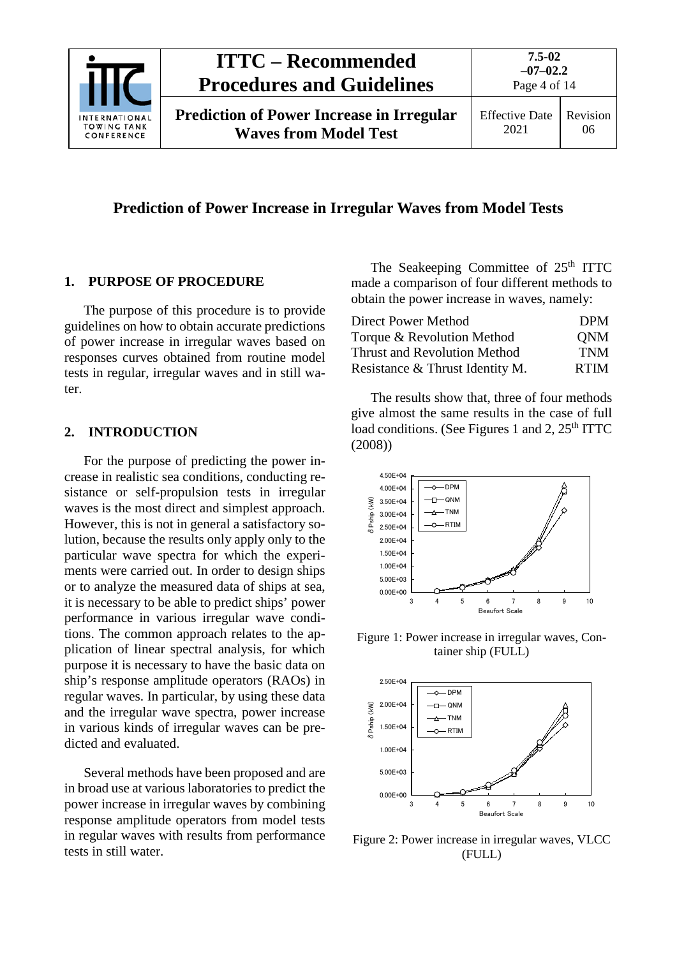

## **Prediction of Power Increase in Irregular Waves from Model Tests**

### <span id="page-3-0"></span>**1. PURPOSE OF PROCEDURE**

The purpose of this procedure is to provide guidelines on how to obtain accurate predictions of power increase in irregular waves based on responses curves obtained from routine model tests in regular, irregular waves and in still water.

### <span id="page-3-1"></span>**2. INTRODUCTION**

For the purpose of predicting the power increase in realistic sea conditions, conducting resistance or self-propulsion tests in irregular waves is the most direct and simplest approach. However, this is not in general a satisfactory solution, because the results only apply only to the particular wave spectra for which the experiments were carried out. In order to design ships or to analyze the measured data of ships at sea, it is necessary to be able to predict ships' power performance in various irregular wave conditions. The common approach relates to the application of linear spectral analysis, for which purpose it is necessary to have the basic data on ship's response amplitude operators (RAOs) in regular waves. In particular, by using these data and the irregular wave spectra, power increase in various kinds of irregular waves can be predicted and evaluated.

Several methods have been proposed and are in broad use at various laboratories to predict the power increase in irregular waves by combining response amplitude operators from model tests in regular waves with results from performance tests in still water.

The Seakeeping Committee of 25<sup>th</sup> ITTC made a comparison of four different methods to obtain the power increase in waves, namely:

| <b>Direct Power Method</b>          | <b>DPM</b>  |
|-------------------------------------|-------------|
| Torque & Revolution Method          | <b>ONM</b>  |
| <b>Thrust and Revolution Method</b> | <b>TNM</b>  |
| Resistance & Thrust Identity M.     | <b>RTIM</b> |

The results show that, three of four methods give almost the same results in the case of full load conditions. (See Figures 1 and 2,  $25<sup>th</sup> ITTC$ (2008))



Figure 1: Power increase in irregular waves, Container ship (FULL)



Figure 2: Power increase in irregular waves, VLCC (FULL)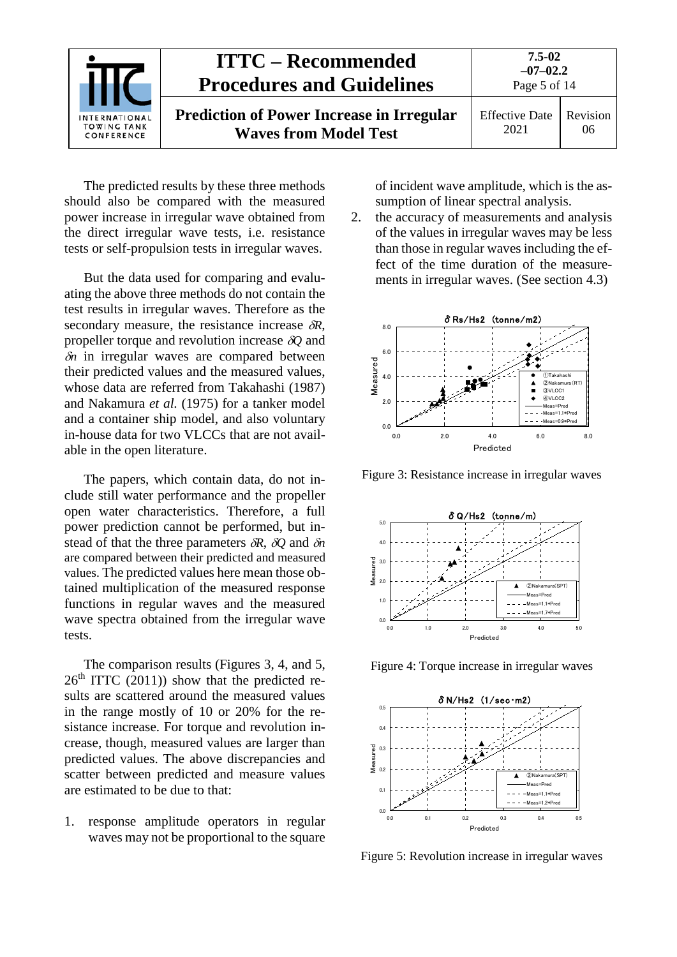

The predicted results by these three methods should also be compared with the measured power increase in irregular wave obtained from the direct irregular wave tests, i.e. resistance tests or self-propulsion tests in irregular waves.

But the data used for comparing and evaluating the above three methods do not contain the test results in irregular waves. Therefore as the secondary measure, the resistance increase <sup>δ</sup>*R*, propeller torque and revolution increase δ*Q* and <sup>δ</sup>*n* in irregular waves are compared between their predicted values and the measured values, whose data are referred from Takahashi (1987) and Nakamura *et al.* (1975) for a tanker model and a container ship model, and also voluntary in-house data for two VLCCs that are not available in the open literature.

The papers, which contain data, do not include still water performance and the propeller open water characteristics. Therefore, a full power prediction cannot be performed, but instead of that the three parameters δ*R*, <sup>δ</sup>*Q* and δ*n* are compared between their predicted and measured values. The predicted values here mean those obtained multiplication of the measured response functions in regular waves and the measured wave spectra obtained from the irregular wave tests.

The comparison results (Figures 3, 4, and 5,  $26<sup>th</sup> ITTC$  (2011)) show that the predicted results are scattered around the measured values in the range mostly of 10 or 20% for the resistance increase. For torque and revolution increase, though, measured values are larger than predicted values. The above discrepancies and scatter between predicted and measure values are estimated to be due to that:

1. response amplitude operators in regular waves may not be proportional to the square of incident wave amplitude, which is the assumption of linear spectral analysis.

2. the accuracy of measurements and analysis of the values in irregular waves may be less than those in regular waves including the effect of the time duration of the measurements in irregular waves. (See section 4.3)



Figure 3: Resistance increase in irregular waves



Figure 4: Torque increase in irregular waves



Figure 5: Revolution increase in irregular waves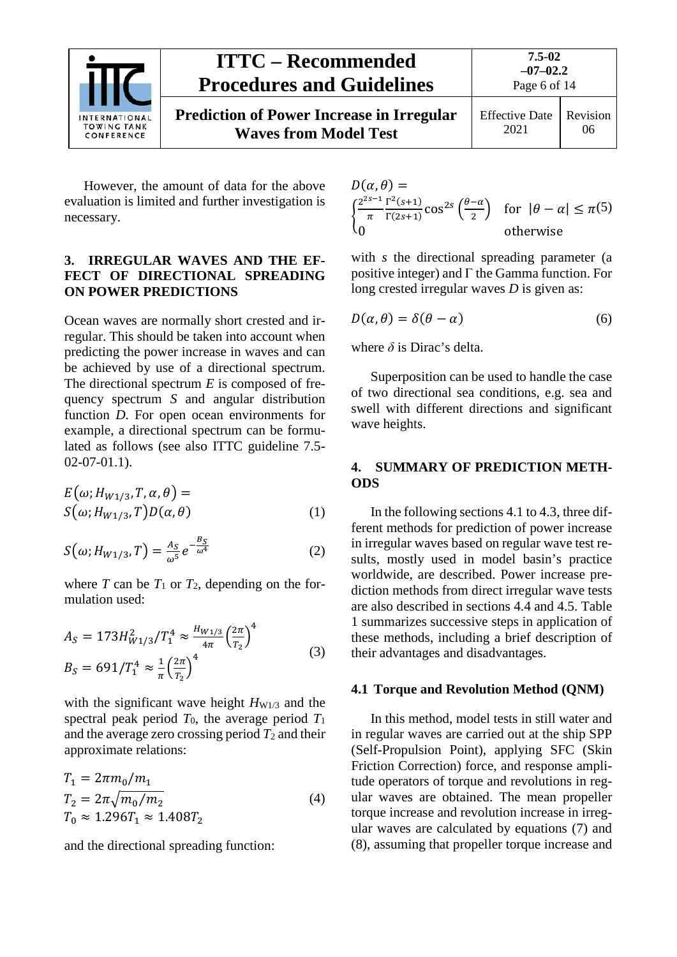

However, the amount of data for the above evaluation is limited and further investigation is necessary.

#### <span id="page-5-0"></span>**3. IRREGULAR WAVES AND THE EF-FECT OF DIRECTIONAL SPREADING ON POWER PREDICTIONS**

Ocean waves are normally short crested and irregular. This should be taken into account when predicting the power increase in waves and can be achieved by use of a directional spectrum. The directional spectrum *E* is composed of frequency spectrum *S* and angular distribution function *D*. For open ocean environments for example, a directional spectrum can be formulated as follows (see also ITTC guideline 7.5- 02-07-01.1).

$$
E(\omega; H_{W1/3}, T, \alpha, \theta) =
$$
  
\n
$$
S(\omega; H_{W1/3}, T)D(\alpha, \theta)
$$
 (1)

$$
S(\omega; H_{W1/3}, T) = \frac{A_S}{\omega^5} e^{-\frac{B_S}{\omega^4}}
$$
 (2)

where  $T$  can be  $T_1$  or  $T_2$ , depending on the formulation used:

$$
A_S = 173H_{W1/3}^2/T_1^4 \approx \frac{H_{W1/3}}{4\pi} \left(\frac{2\pi}{T_2}\right)^4
$$
  
\n
$$
B_S = 691/T_1^4 \approx \frac{1}{\pi} \left(\frac{2\pi}{T_2}\right)^4
$$
\n(3)

with the significant wave height  $H_{W1/3}$  and the spectral peak period  $T_0$ , the average period  $T_1$ and the average zero crossing period  $T_2$  and their approximate relations:

$$
T_1 = 2\pi m_0/m_1
$$
  
\n
$$
T_2 = 2\pi \sqrt{m_0/m_2}
$$
  
\n
$$
T_0 \approx 1.296T_1 \approx 1.408T_2
$$
\n(4)

and the directional spreading function:

$$
D(\alpha, \theta) =
$$
\n
$$
\int_{0}^{2^{2s-1}} \frac{\Gamma^2(s+1)}{\Gamma(2s+1)} \cos^{2s} \left(\frac{\theta-\alpha}{2}\right) \quad \text{for } |\theta-\alpha| \le \pi(5)
$$
\notherwise

with *s* the directional spreading parameter (a positive integer) and  $\Gamma$  the Gamma function. For long crested irregular waves *D* is given as:

$$
D(\alpha, \theta) = \delta(\theta - \alpha) \tag{6}
$$

where  $\delta$  is Dirac's delta.

Superposition can be used to handle the case of two directional sea conditions, e.g. sea and swell with different directions and significant wave heights.

#### <span id="page-5-1"></span>**4. SUMMARY OF PREDICTION METH-ODS**

In the following sections 4.1 to 4.3, three different methods for prediction of power increase in irregular waves based on regular wave test results, mostly used in model basin's practice worldwide, are described. Power increase prediction methods from direct irregular wave tests are also described in sections 4.4 and 4.5. Table 1 summarizes successive steps in application of these methods, including a brief description of their advantages and disadvantages.

#### <span id="page-5-2"></span>**4.1 Torque and Revolution Method (QNM)**

In this method, model tests in still water and in regular waves are carried out at the ship SPP (Self-Propulsion Point), applying SFC (Skin Friction Correction) force, and response amplitude operators of torque and revolutions in regular waves are obtained. The mean propeller torque increase and revolution increase in irregular waves are calculated by equations (7) and (8), assuming that propeller torque increase and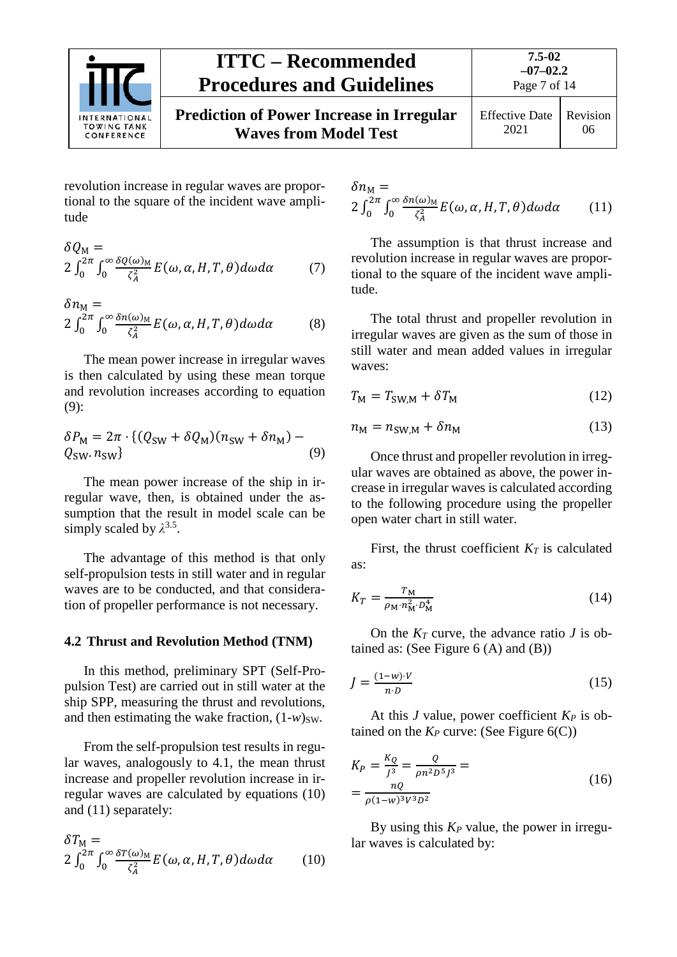

revolution increase in regular waves are proportional to the square of the incident wave amplitude

$$
\delta Q_{\rm M} =
$$
  
2  $\int_0^{2\pi} \int_0^{\infty} \frac{\delta Q(\omega)_{\rm M}}{\zeta_A^2} E(\omega, \alpha, H, T, \theta) d\omega d\alpha$  (7)

$$
\delta n_{\rm M} =
$$
  
2  $\int_0^{2\pi} \int_0^{\infty} \frac{\delta n(\omega)_{\rm M}}{\zeta_A^2} E(\omega, \alpha, H, T, \theta) d\omega d\alpha$  (8)

The mean power increase in irregular waves is then calculated by using these mean torque and revolution increases according to equation (9):

$$
\delta P_{\rm M} = 2\pi \cdot \{ (Q_{\rm SW} + \delta Q_{\rm M}) (n_{\rm SW} + \delta n_{\rm M}) - Q_{\rm SW}.n_{\rm SW} \} \tag{9}
$$

The mean power increase of the ship in irregular wave, then, is obtained under the assumption that the result in model scale can be simply scaled by  $\lambda^{3.5}$ .

The advantage of this method is that only self-propulsion tests in still water and in regular waves are to be conducted, and that consideration of propeller performance is not necessary.

#### <span id="page-6-0"></span>**4.2 Thrust and Revolution Method (TNM)**

In this method, preliminary SPT (Self-Propulsion Test) are carried out in still water at the ship SPP, measuring the thrust and revolutions, and then estimating the wake fraction,  $(1-w)$ <sub>SW</sub>.

From the self-propulsion test results in regular waves, analogously to 4.1, the mean thrust increase and propeller revolution increase in irregular waves are calculated by equations (10) and (11) separately:

$$
\delta T_{\rm M} = 2 \int_0^{2\pi} \int_0^{\infty} \frac{\delta T(\omega)_{\rm M}}{\zeta_A^2} E(\omega, \alpha, H, T, \theta) d\omega d\alpha \qquad (10)
$$

$$
\delta n_{\rm M} = 2 \int_0^{2\pi} \int_0^{\infty} \frac{\delta n(\omega)_{\rm M}}{\zeta_A^2} E(\omega, \alpha, H, T, \theta) d\omega d\alpha \qquad (11)
$$

The assumption is that thrust increase and revolution increase in regular waves are proportional to the square of the incident wave amplitude.

The total thrust and propeller revolution in irregular waves are given as the sum of those in still water and mean added values in irregular waves:

$$
T_{\rm M} = T_{\rm SW,M} + \delta T_{\rm M} \tag{12}
$$

$$
n_{\rm M} = n_{\rm SW,M} + \delta n_{\rm M} \tag{13}
$$

Once thrust and propeller revolution in irregular waves are obtained as above, the power increase in irregular waves is calculated according to the following procedure using the propeller open water chart in still water.

First, the thrust coefficient  $K_T$  is calculated as:

$$
K_T = \frac{T_M}{\rho_M \cdot n_M^2 \cdot D_M^4} \tag{14}
$$

On the  $K_T$  curve, the advance ratio *J* is obtained as: (See Figure 6 (A) and (B))

$$
J = \frac{(1 - w) \cdot V}{n \cdot D} \tag{15}
$$

At this *J* value, power coefficient *KP* is obtained on the  $K_P$  curve: (See Figure  $6(C)$ )

$$
K_P = \frac{K_Q}{J^3} = \frac{Q}{\rho n^2 D^5 J^3} =
$$
  
= 
$$
\frac{nQ}{\rho (1 - w)^3 V^3 D^2}
$$
 (16)

By using this *KP* value, the power in irregular waves is calculated by: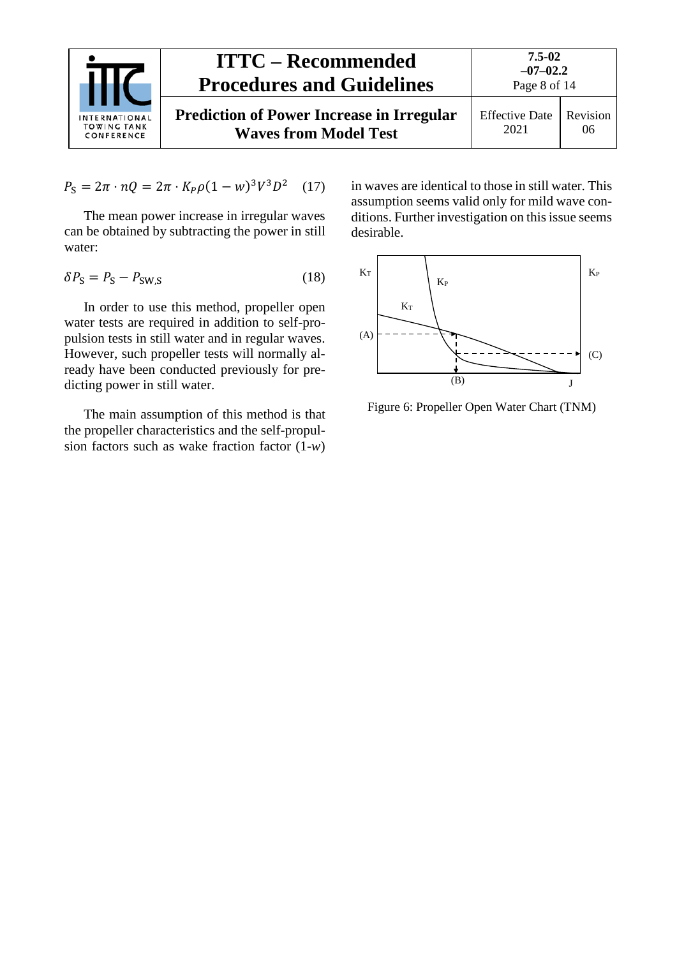

$$
P_{\rm S} = 2\pi \cdot nQ = 2\pi \cdot K_P \rho (1 - w)^3 V^3 D^2 \quad (17)
$$

The mean power increase in irregular waves can be obtained by subtracting the power in still water:

$$
\delta P_{\rm S} = P_{\rm S} - P_{\rm SW,S} \tag{18}
$$

In order to use this method, propeller open water tests are required in addition to self-propulsion tests in still water and in regular waves. However, such propeller tests will normally already have been conducted previously for predicting power in still water.

The main assumption of this method is that the propeller characteristics and the self-propulsion factors such as wake fraction factor (1-*w*) in waves are identical to those in still water. This assumption seems valid only for mild wave conditions. Further investigation on this issue seems desirable.



Figure 6: Propeller Open Water Chart (TNM)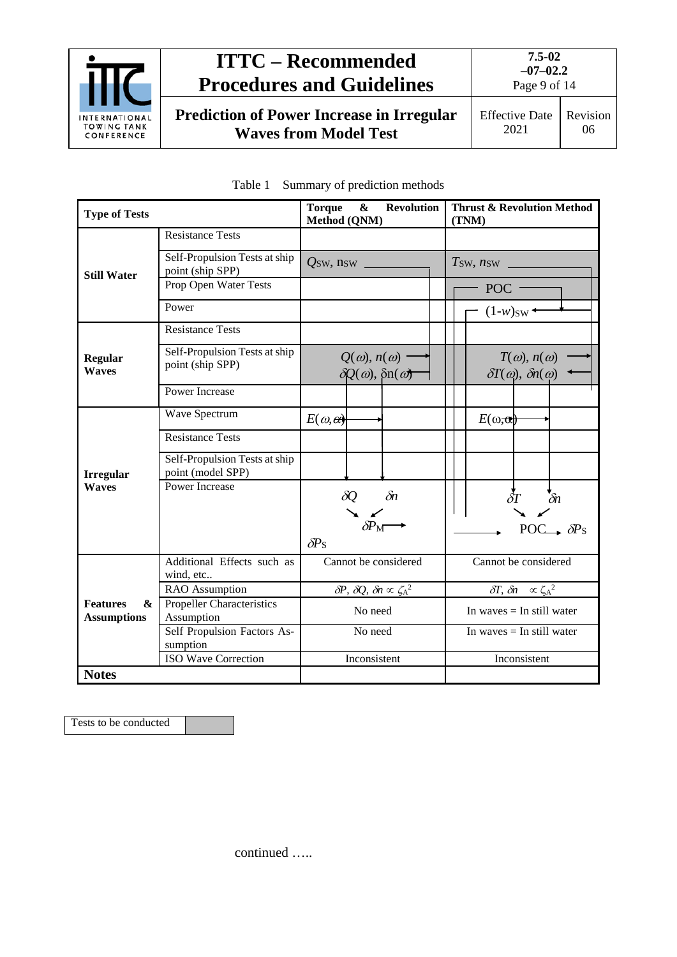

**Prediction of Power Increase in Irregular Waves from Model Test**

Effective Date 2021

| <b>Type of Tests</b>                       |                                                    | <b>Revolution</b><br><b>Torque</b><br>$\boldsymbol{\&}$<br>Method (QNM) | <b>Thrust &amp; Revolution Method</b><br>(TNM)                       |  |
|--------------------------------------------|----------------------------------------------------|-------------------------------------------------------------------------|----------------------------------------------------------------------|--|
|                                            | <b>Resistance Tests</b>                            |                                                                         |                                                                      |  |
| <b>Still Water</b>                         | Self-Propulsion Tests at ship<br>point (ship SPP)  | $Q_{SW}$ , n <sub>SW</sub>                                              | $T_{SW}, n_{SW}$                                                     |  |
|                                            | Prop Open Water Tests                              |                                                                         | POC                                                                  |  |
|                                            | Power                                              |                                                                         | $(1-w)_{SW}$                                                         |  |
|                                            | <b>Resistance Tests</b>                            |                                                                         |                                                                      |  |
| <b>Regular</b><br><b>Waves</b>             | Self-Propulsion Tests at ship<br>point (ship SPP)  | $Q(\omega)$ , $n(\omega)$ –<br>$\delta Q(\omega)$ , $\delta n(\omega)$  | $T(\omega)$ , $n(\omega)$<br>$\delta T(\omega)$ , $\delta n(\omega)$ |  |
|                                            | <b>Power Increase</b>                              |                                                                         |                                                                      |  |
|                                            | Wave Spectrum                                      | $E(\omega, \alpha)$                                                     | $E(\omega, \alpha)$                                                  |  |
|                                            | <b>Resistance Tests</b>                            |                                                                         |                                                                      |  |
| <b>Irregular</b>                           | Self-Propulsion Tests at ship<br>point (model SPP) |                                                                         |                                                                      |  |
| <b>Waves</b>                               | <b>Power Increase</b>                              | $\delta\!Q$<br>$\delta\! n$<br>$\delta P$ <sub>M</sub>                  | $\delta n$                                                           |  |
|                                            |                                                    | $\delta P_{\rm S}$                                                      | POC <sub><math>\rightarrow</math></sub> $\delta P_{\rm S}$           |  |
|                                            | Additional Effects such as<br>wind, etc            | Cannot be considered                                                    | Cannot be considered                                                 |  |
|                                            | RAO Assumption                                     | $\delta P$ , $\delta Q$ , $\delta n \propto \zeta_A^2$                  | δΓ, δη $\propto \zeta_A^2$                                           |  |
| <b>Features</b><br>&<br><b>Assumptions</b> | <b>Propeller Characteristics</b><br>Assumption     | No need                                                                 | In waves $=$ In still water                                          |  |
|                                            | Self Propulsion Factors As-<br>sumption            | No need                                                                 | In waves $=$ In still water                                          |  |
|                                            | <b>ISO Wave Correction</b>                         | Inconsistent                                                            | Inconsistent                                                         |  |
| <b>Notes</b>                               |                                                    |                                                                         |                                                                      |  |

### Table 1 Summary of prediction methods

Tests to be conducted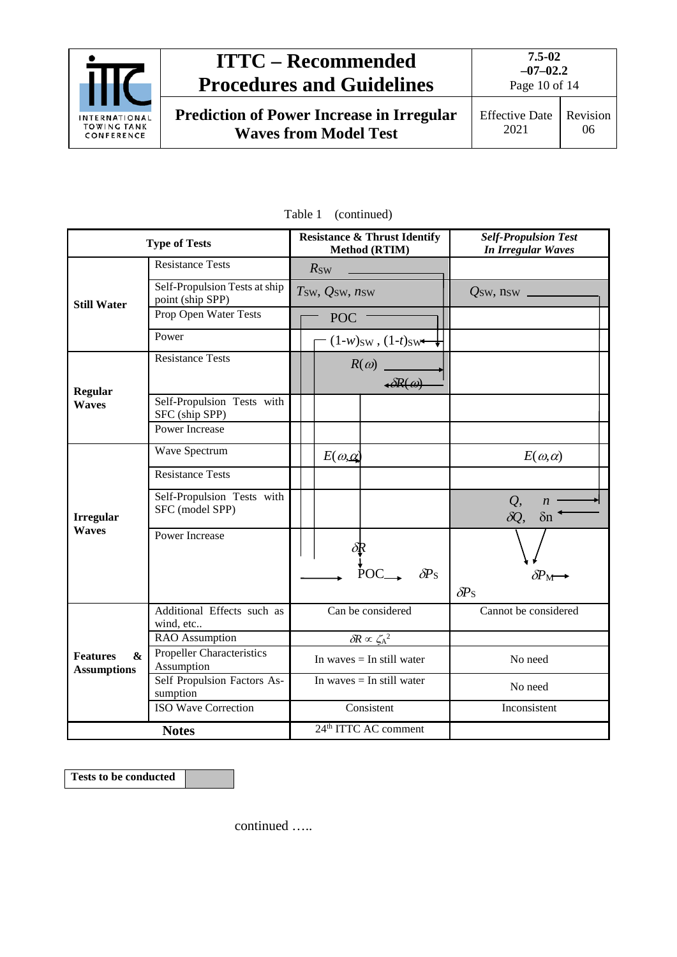

**Prediction of Power Increase in Irregular Waves from Model Test**

06

|                                                        | <b>Type of Tests</b>                              | <b>Resistance &amp; Thrust Identify</b><br>Method (RTIM) | <b>Self-Propulsion Test</b><br><b>In Irregular Waves</b> |
|--------------------------------------------------------|---------------------------------------------------|----------------------------------------------------------|----------------------------------------------------------|
|                                                        | <b>Resistance Tests</b>                           | $R_{SW}$                                                 |                                                          |
| <b>Still Water</b>                                     | Self-Propulsion Tests at ship<br>point (ship SPP) | $T_{SW}$ , $Q_{SW}$ , $n_{SW}$                           | $Q_{SW}$ , nsw $\overline{\phantom{0}}$                  |
|                                                        | Prop Open Water Tests                             | <b>POC</b>                                               |                                                          |
|                                                        | Power                                             | $(1-w)_{SW}$ , $(1-t)_{SW}$                              |                                                          |
| <b>Regular</b>                                         | <b>Resistance Tests</b>                           | $R(\omega)$<br>$\triangle$ R $(\omega)$                  |                                                          |
| <b>Waves</b>                                           | Self-Propulsion Tests with<br>SFC (ship SPP)      |                                                          |                                                          |
|                                                        | <b>Power Increase</b>                             |                                                          |                                                          |
|                                                        | Wave Spectrum                                     | $E(\omega, \alpha)$                                      | $E(\omega,\alpha)$                                       |
|                                                        | <b>Resistance Tests</b>                           |                                                          |                                                          |
| <b>Irregular</b><br><b>Waves</b>                       | Self-Propulsion Tests with<br>SFC (model SPP)     |                                                          | Q,<br>$\boldsymbol{n}$<br>$\delta Q,$<br>$\delta$ n      |
|                                                        | Power Increase                                    | δŖ                                                       |                                                          |
|                                                        |                                                   | $\delta P_{\rm S}$                                       | $\delta P_M \rightarrow$<br>$\delta P_{\rm S}$           |
|                                                        | Additional Effects such as<br>wind, etc           | Can be considered                                        | Cannot be considered                                     |
| $\mathbf{\&}$<br><b>Features</b><br><b>Assumptions</b> | RAO Assumption                                    | $\delta R \propto \zeta_A^2$                             |                                                          |
|                                                        | <b>Propeller Characteristics</b><br>Assumption    | In waves $=$ In still water                              | No need                                                  |
|                                                        | Self Propulsion Factors As-<br>sumption           | In waves $=$ In still water                              | No need                                                  |
|                                                        | <b>ISO Wave Correction</b>                        | Consistent                                               | Inconsistent                                             |
| <b>Notes</b>                                           |                                                   | 24 <sup>th</sup> ITTC AC comment                         |                                                          |

Table 1 (continued)

**Tests to be conducted**

continued …..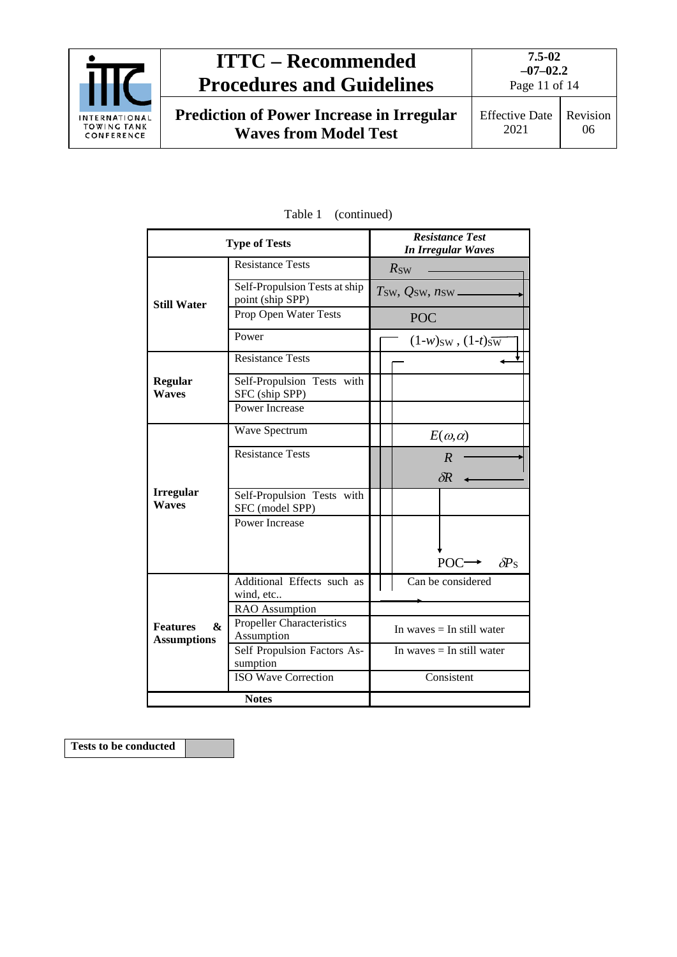

**Prediction of Power Increase in Irregular Waves from Model Test**

Effective Date 2021

Revision 06

|                                            | <b>Type of Tests</b>                              | <b>Resistance Test</b><br><b>In Irregular Waves</b> |  |
|--------------------------------------------|---------------------------------------------------|-----------------------------------------------------|--|
|                                            | <b>Resistance Tests</b>                           | $R_{SW}$                                            |  |
| <b>Still Water</b>                         | Self-Propulsion Tests at ship<br>point (ship SPP) | $T_{\rm SW}$ , $Q_{\rm SW}$ , $n_{\rm SW}$          |  |
|                                            | Prop Open Water Tests                             | <b>POC</b>                                          |  |
|                                            | Power                                             | $(1-w)_{SW}$ , $(1-t)_{SW}$                         |  |
|                                            | <b>Resistance Tests</b>                           |                                                     |  |
| <b>Regular</b><br><b>Waves</b>             | Self-Propulsion Tests with<br>SFC (ship SPP)      |                                                     |  |
|                                            | <b>Power Increase</b>                             |                                                     |  |
|                                            | Wave Spectrum                                     | $E(\omega,\alpha)$                                  |  |
|                                            | <b>Resistance Tests</b>                           | $\boldsymbol{R}$<br>$\delta R$                      |  |
| <b>Irregular</b><br><b>Waves</b>           | Self-Propulsion Tests with<br>SFC (model SPP)     |                                                     |  |
|                                            | <b>Power Increase</b>                             | POC<br>$\delta\!P_{\rm S}$                          |  |
|                                            | Additional Effects such as<br>wind, etc           | Can be considered                                   |  |
| <b>Features</b><br>&<br><b>Assumptions</b> | RAO Assumption                                    |                                                     |  |
|                                            | Propeller Characteristics<br>Assumption           | In waves $=$ In still water                         |  |
|                                            | Self Propulsion Factors As-<br>sumption           | In waves $=$ In still water                         |  |
|                                            | <b>ISO Wave Correction</b>                        | Consistent                                          |  |
|                                            | <b>Notes</b>                                      |                                                     |  |

Table 1 (continued)

**Tests to be conducted**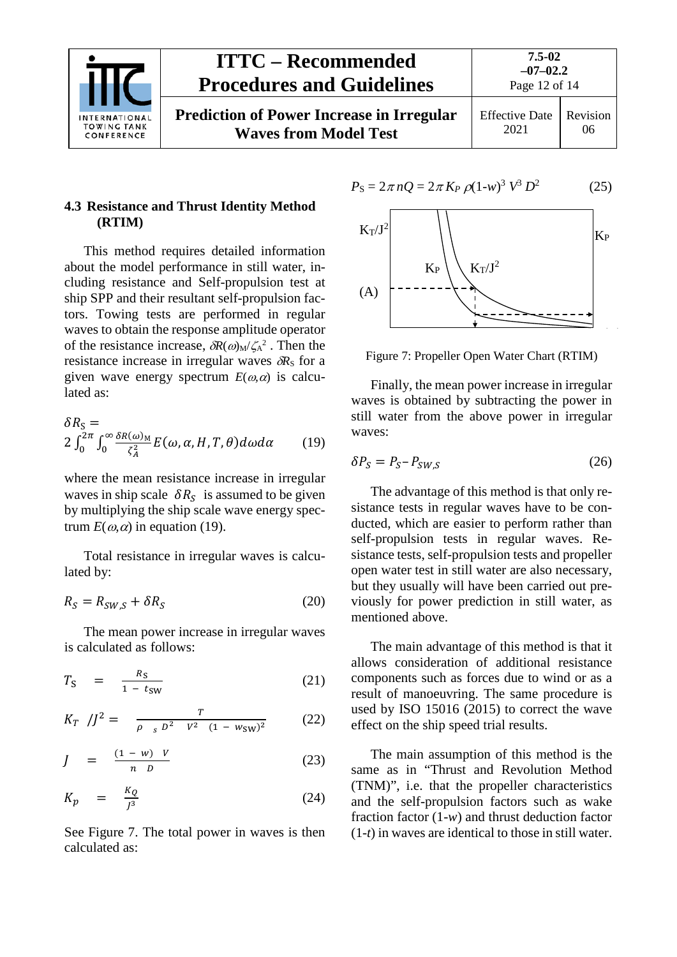

#### <span id="page-11-0"></span>**4.3 Resistance and Thrust Identity Method (RTIM)**

This method requires detailed information about the model performance in still water, including resistance and Self-propulsion test at ship SPP and their resultant self-propulsion factors. Towing tests are performed in regular waves to obtain the response amplitude operator of the resistance increase,  $\delta R(\omega)_{\text{M}}/\zeta_{\text{A}}^2$ . Then the resistance increase in irregular waves  $\delta R_S$  for a given wave energy spectrum  $E(\omega, \alpha)$  is calculated as:

$$
\delta R_{\rm S} = 2 \int_0^{2\pi} \int_0^{\infty} \frac{\delta R(\omega)_{\rm M}}{\zeta_A^2} E(\omega, \alpha, H, T, \theta) d\omega d\alpha \qquad (19)
$$

where the mean resistance increase in irregular waves in ship scale  $\delta R_S$  is assumed to be given by multiplying the ship scale wave energy spectrum  $E(\omega, \alpha)$  in equation (19).

Total resistance in irregular waves is calculated by:

$$
R_S = R_{SW,S} + \delta R_S \tag{20}
$$

The mean power increase in irregular waves is calculated as follows:

$$
T_{\rm S} = \frac{R_{\rm S}}{1 - t_{\rm SW}} \tag{21}
$$

$$
K_T / J^2 = \frac{T}{\rho_{s} D^2 V^2 (1 - w_{SW})^2}
$$
 (22)

$$
J = \frac{(1 - w) V}{n D} \tag{23}
$$

$$
K_p = \frac{K_Q}{J^3} \tag{24}
$$

See Figure 7. The total power in waves is then calculated as:

$$
P_{\rm S} = 2\pi n Q = 2\pi K_P \rho (1-w)^3 V^3 D^2 \qquad (25)
$$



Figure 7: Propeller Open Water Chart (RTIM)

Finally, the mean power increase in irregular waves is obtained by subtracting the power in still water from the above power in irregular waves:

$$
\delta P_S = P_S - P_{SW,S} \tag{26}
$$

The advantage of this method is that only resistance tests in regular waves have to be conducted, which are easier to perform rather than self-propulsion tests in regular waves. Resistance tests, self-propulsion tests and propeller open water test in still water are also necessary, but they usually will have been carried out previously for power prediction in still water, as mentioned above.

The main advantage of this method is that it allows consideration of additional resistance components such as forces due to wind or as a result of manoeuvring. The same procedure is used by ISO 15016 (2015) to correct the wave effect on the ship speed trial results.

The main assumption of this method is the same as in "Thrust and Revolution Method (TNM)", i.e. that the propeller characteristics and the self-propulsion factors such as wake fraction factor (1-*w*) and thrust deduction factor (1-*t*) in waves are identical to those in still water.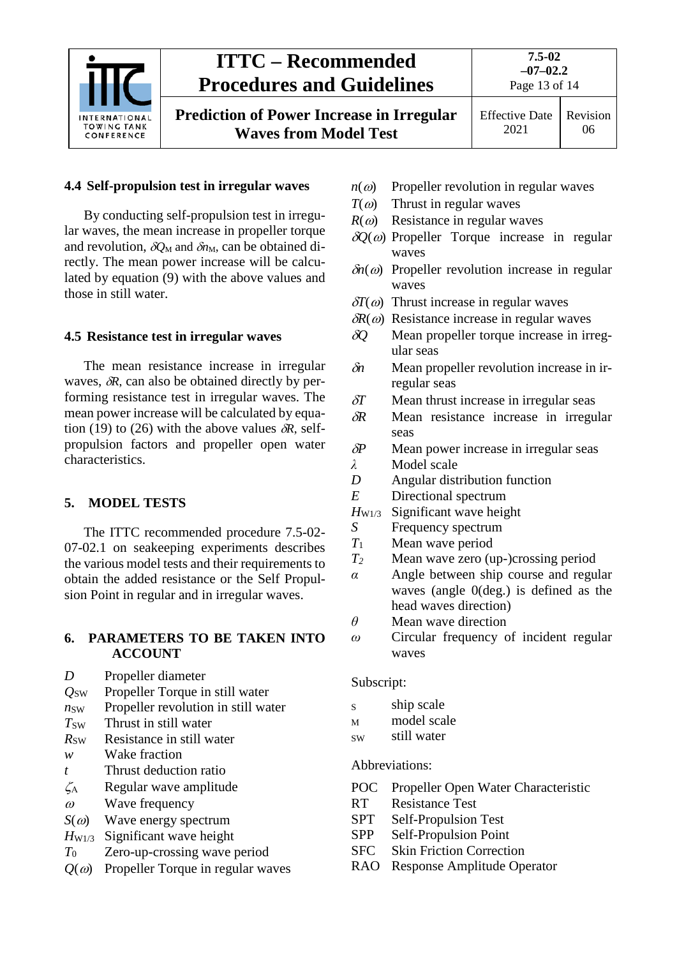

**Prediction of Power Increase in Irregular Waves from Model Test**

2021

Effective Date Revision 06

### <span id="page-12-0"></span>**4.4 Self-propulsion test in irregular waves**

By conducting self-propulsion test in irregular waves, the mean increase in propeller torque and revolution,  $\delta Q_M$  and  $\delta n_M$ , can be obtained directly. The mean power increase will be calculated by equation (9) with the above values and those in still water.

## <span id="page-12-1"></span>**4.5 Resistance test in irregular waves**

The mean resistance increase in irregular waves, δ*R*, can also be obtained directly by performing resistance test in irregular waves. The mean power increase will be calculated by equation (19) to (26) with the above values  $\delta R$ , selfpropulsion factors and propeller open water characteristics.

## <span id="page-12-2"></span>**5. MODEL TESTS**

The ITTC recommended procedure 7.5-02- 07-02.1 on seakeeping experiments describes the various model tests and their requirements to obtain the added resistance or the Self Propulsion Point in regular and in irregular waves.

#### <span id="page-12-3"></span>**6. PARAMETERS TO BE TAKEN INTO ACCOUNT**

- *D* Propeller diameter
- *Q*SW Propeller Torque in still water
- *nsw* Propeller revolution in still water
- *T*<sub>SW</sub> Thrust in still water
- *R*<sub>SW</sub> Resistance in still water
- *w* Wake fraction
- *t* Thrust deduction ratio
- $\zeta_A$  Regular wave amplitude
- $\omega$  Wave frequency
- *S*(ω) Wave energy spectrum
- *H*W1/3 Significant wave height
- *T*<sup>0</sup> Zero-up-crossing wave period
- $Q(\omega)$  Propeller Torque in regular waves
- $n(\omega)$  Propeller revolution in regular waves
- $T(\omega)$  Thrust in regular waves
- $R(\omega)$  Resistance in regular waves
- δ*Q*(ω) Propeller Torque increase in regular waves
- $\delta n(\omega)$  Propeller revolution increase in regular waves
- $\delta T(\omega)$  Thrust increase in regular waves
- $\delta R(\omega)$  Resistance increase in regular waves
- δ*Q* Mean propeller torque increase in irregular seas
- δ*n* Mean propeller revolution increase in irregular seas
- δ*T* Mean thrust increase in irregular seas
- δ*R* Mean resistance increase in irregular seas
- δ*P* Mean power increase in irregular seas
- *λ* Model scale
- *D* Angular distribution function<br>*E* Directional spectrum
- Directional spectrum
- *H*W1/3 Significant wave height
- *S* Frequency spectrum
- *T*<sup>1</sup> Mean wave period
- *T2* Mean wave zero (up-)crossing period
- *α* Angle between ship course and regular waves (angle 0(deg.) is defined as the head waves direction)
- *θ* Mean wave direction
- *ω* Circular frequency of incident regular waves

### Subscript:

- s ship scale
- M model scale
- SW still water

### Abbreviations:

- POC Propeller Open Water Characteristic
- RT Resistance Test
- SPT Self-Propulsion Test
- SPP Self-Propulsion Point
- SFC Skin Friction Correction
- RAO Response Amplitude Operator